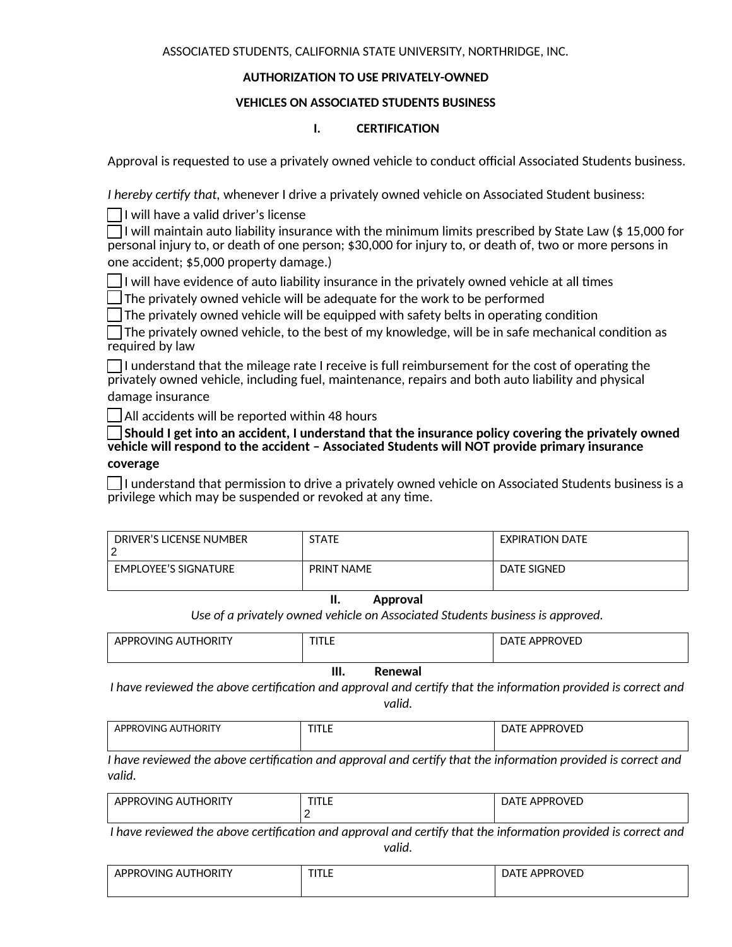ASSOCIATED STUDENTS, CALIFORNIA STATE UNIVERSITY, NORTHRIDGE, INC.

## **AUTHORIZATION TO USE PRIVATELY-OWNED**

## **VEHICLES ON ASSOCIATED STUDENTS BUSINESS**

## **I. CERTIFICATION**

Approval is requested to use a privately owned vehicle to conduct official Associated Students business.

*I hereby certify that,* whenever I drive a privately owned vehicle on Associated Student business:

 $\Box$ I will have a valid driver's license

 $\Box$  I will maintain auto liability insurance with the minimum limits prescribed by State Law (\$15,000 for personal injury to, or death of one person; \$30,000 for injury to, or death of, two or more persons in one accident; \$5,000 property damage.)

 $\Box$  I will have evidence of auto liability insurance in the privately owned vehicle at all times

 $\Box$  The privately owned vehicle will be adequate for the work to be performed

 $\Box$  The privately owned vehicle will be equipped with safety belts in operating condition

 $\Box$  The privately owned vehicle, to the best of my knowledge, will be in safe mechanical condition as required by law

 $\Box$  I understand that the mileage rate I receive is full reimbursement for the cost of operating the privately owned vehicle, including fuel, maintenance, repairs and both auto liability and physical damage insurance

 $\Box$  All accidents will be reported within 48 hours

☐ **Should I get into an accident, I understand that the insurance policy covering the privately owned vehicle will respond to the accident – Associated Students will NOT provide primary insurance coverage**

 $\Box$  I understand that permission to drive a privately owned vehicle on Associated Students business is a privilege which may be suspended or revoked at any time.

| DRIVER'S LICENSE NUMBER     | <b>STATE</b>      | <b>EXPIRATION DATE</b> |
|-----------------------------|-------------------|------------------------|
| <b>EMPLOYEE'S SIGNATURE</b> | <b>PRINT NAME</b> | DATE SIGNED            |

## **II. Approval**

*Use of a privately owned vehicle on Associated Students business is approved.*

| <b>APPROVING AUTHORITY</b> | TITLE | <b>DATE APPROVED</b> |
|----------------------------|-------|----------------------|
|                            |       |                      |

# **III. Renewal**

*I have reviewed the above certification and approval and certify that the information provided is correct and valid.* 

| , AUTHORIT<br>י מממ<br>WING.<br>ж. | - 19<br>. | <b>APPROVED</b><br>۵۵. |
|------------------------------------|-----------|------------------------|
|                                    |           |                        |

*I have reviewed the above certification and approval and certify that the information provided is correct and valid.* 

| NINI<br>ж | <b>TITL F</b><br>1 L.E | 1.000001100<br>$N+1$<br>. μ<br>∸<br>.<br>-- |
|-----------|------------------------|---------------------------------------------|
|           |                        |                                             |

*I have reviewed the above certification and approval and certify that the information provided is correct and valid.* 

| <b>HORIT</b><br><b>IDDRC</b><br>OVING AL<br>▵ | <b>TITLE</b> | APPROVED<br>-<br>- ۸م |
|-----------------------------------------------|--------------|-----------------------|
|                                               |              |                       |